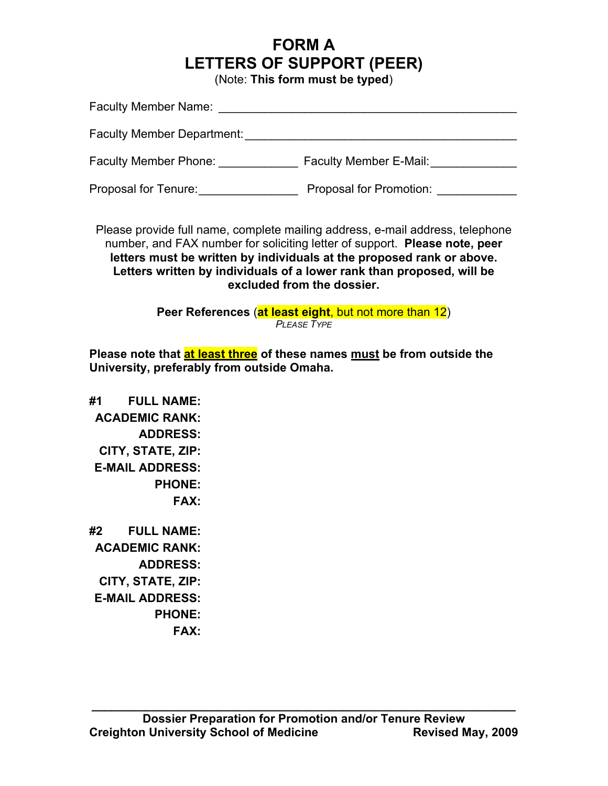## **FORM A LETTERS OF SUPPORT (PEER)**

(Note: **This form must be typed**)

| <b>Faculty Member Name:</b>       |                               |
|-----------------------------------|-------------------------------|
| <b>Faculty Member Department:</b> |                               |
| <b>Faculty Member Phone:</b>      | <b>Faculty Member E-Mail:</b> |
| Proposal for Tenure:              | Proposal for Promotion:       |

Please provide full name, complete mailing address, e-mail address, telephone number, and FAX number for soliciting letter of support. **Please note, peer letters must be written by individuals at the proposed rank or above. Letters written by individuals of a lower rank than proposed, will be excluded from the dossier.**

> **Peer References** (**at least eight**, but not more than 12) *PLEASE TYPE*

**Please note that at least three of these names must be from outside the University, preferably from outside Omaha.**

**#1 FULL NAME: ACADEMIC RANK: ADDRESS: CITY, STATE, ZIP: E-MAIL ADDRESS: PHONE: FAX: #2 FULL NAME: ACADEMIC RANK: ADDRESS: CITY, STATE, ZIP: E-MAIL ADDRESS: PHONE:**

**FAX:**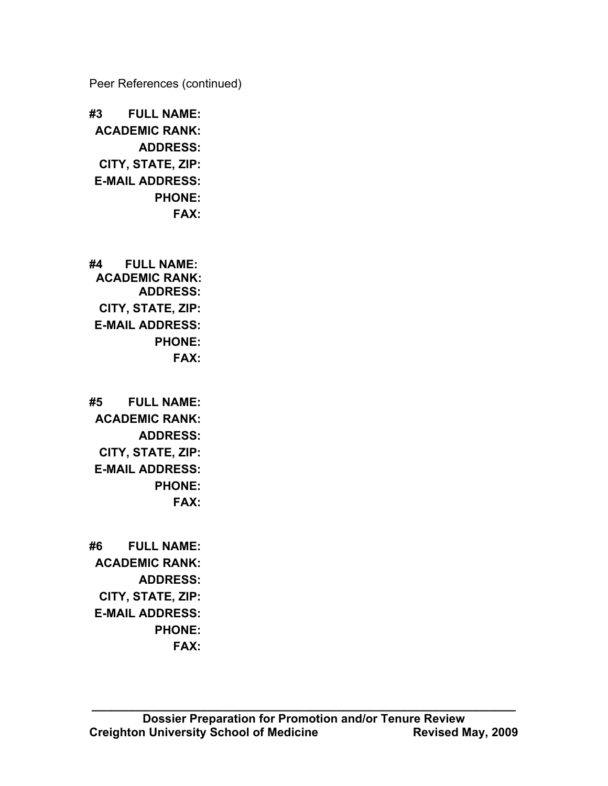Peer References (continued)

**#3 FULL NAME: ACADEMIC RANK: ADDRESS: CITY, STATE, ZIP: E-MAIL ADDRESS: PHONE: FAX:**

**#4 FULL NAME: ACADEMIC RANK: ADDRESS: CITY, STATE, ZIP: E-MAIL ADDRESS: PHONE: FAX:**

**#5 FULL NAME: ACADEMIC RANK: ADDRESS: CITY, STATE, ZIP: E-MAIL ADDRESS: PHONE: FAX:**

**#6 FULL NAME: ACADEMIC RANK: ADDRESS: CITY, STATE, ZIP: E-MAIL ADDRESS: PHONE: FAX:**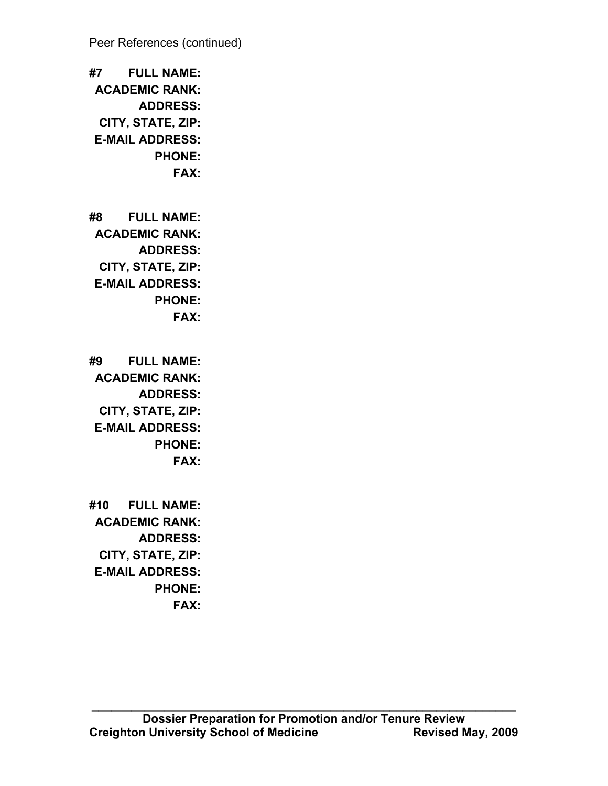Peer References (continued)

**#7 FULL NAME: ACADEMIC RANK: ADDRESS: CITY, STATE, ZIP: E-MAIL ADDRESS: PHONE: FAX:**

**#8 FULL NAME: ACADEMIC RANK: ADDRESS: CITY, STATE, ZIP: E-MAIL ADDRESS: PHONE: FAX:**

**#9 FULL NAME: ACADEMIC RANK: ADDRESS: CITY, STATE, ZIP: E-MAIL ADDRESS: PHONE: FAX:**

**#10 FULL NAME: ACADEMIC RANK: ADDRESS: CITY, STATE, ZIP: E-MAIL ADDRESS: PHONE: FAX:**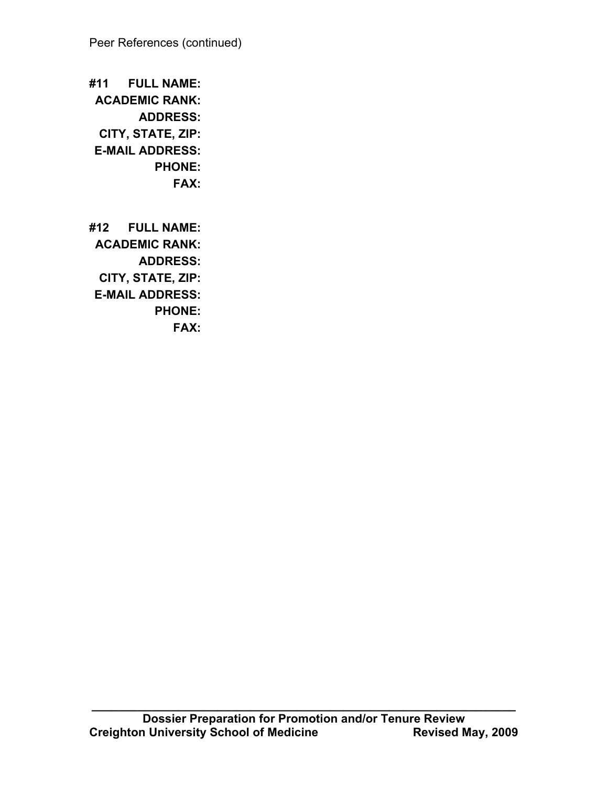**#11 FULL NAME: ACADEMIC RANK: ADDRESS: CITY, STATE, ZIP: E-MAIL ADDRESS: PHONE: FAX:**

**#12 FULL NAME: ACADEMIC RANK: ADDRESS: CITY, STATE, ZIP: E-MAIL ADDRESS: PHONE: FAX:**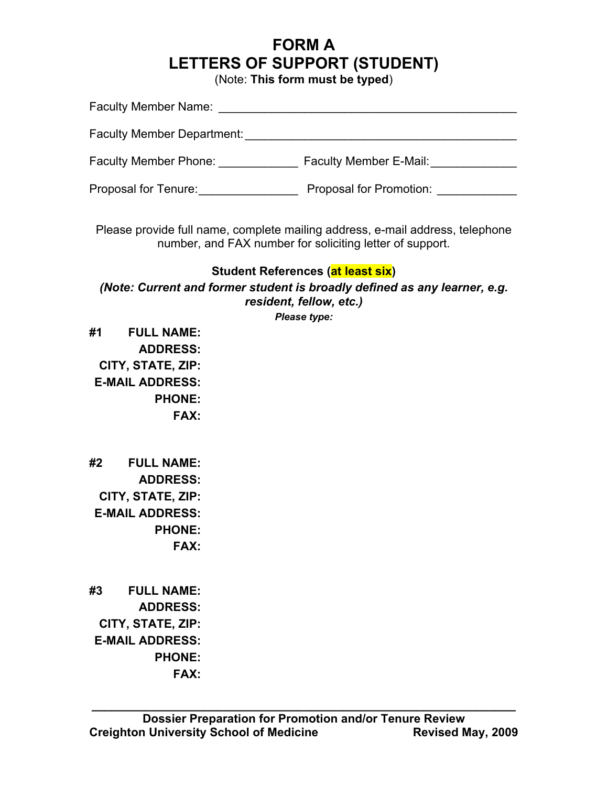## **FORM A LETTERS OF SUPPORT (STUDENT)**

(Note: **This form must be typed**)

| <b>Faculty Member Name:</b>       |                               |
|-----------------------------------|-------------------------------|
| <b>Faculty Member Department:</b> |                               |
| <b>Faculty Member Phone:</b>      | <b>Faculty Member E-Mail:</b> |
| Proposal for Tenure:              | Proposal for Promotion:       |

Please provide full name, complete mailing address, e-mail address, telephone number, and FAX number for soliciting letter of support.

## **Student References (at least six)**

*(Note: Current and former student is broadly defined as any learner, e.g. resident, fellow, etc.)*

*Please type:*

**#1 FULL NAME: ADDRESS: CITY, STATE, ZIP: E-MAIL ADDRESS: PHONE: FAX:**

**#2 FULL NAME: ADDRESS: CITY, STATE, ZIP: E-MAIL ADDRESS: PHONE: FAX:**

**#3 FULL NAME: ADDRESS: CITY, STATE, ZIP: E-MAIL ADDRESS: PHONE: FAX:**